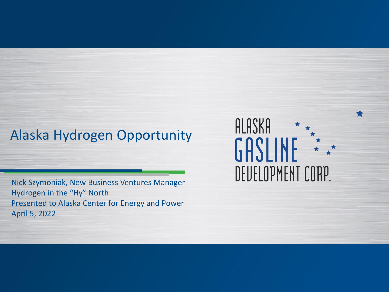## Alaska Hydrogen Opportunity

Nick Szymoniak, New Business Ventures Manager Hydrogen in the "Hy" North Presented to Alaska Center for Energy and Power April 5, 2022

## ALASKA GASLINE  $\star$ DEUELOPMENT CORP.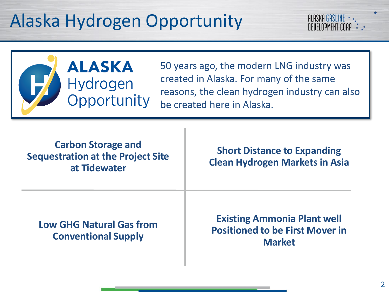# Alaska Hydrogen Opportunity





50 years ago, the modern LNG industry was created in Alaska. For many of the same reasons, the clean hydrogen industry can also be created here in Alaska.

**Carbon Storage and Sequestration at the Project Site at Tidewater**

**Short Distance to Expanding Clean Hydrogen Markets in Asia**

**Low GHG Natural Gas from Conventional Supply**

**Existing Ammonia Plant well Positioned to be First Mover in Market**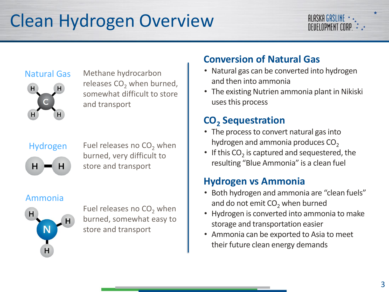# Clean Hydrogen Overview

#### **ALASKA GASLINE** DEUFLOPMENT CORP

#### Natural Gas



Methane hydrocarbon releases  $CO<sub>2</sub>$  when burned, somewhat difficult to store and transport

#### Hydrogen



Fuel releases no  $CO<sub>2</sub>$  when burned, very difficult to store and transport

#### Ammonia



Fuel releases no  $CO<sub>2</sub>$  when burned, somewhat easy to store and transport

## **Conversion of Natural Gas**

- Natural gas can be converted into hydrogen and then into ammonia
- The existing Nutrien ammonia plant in Nikiski uses this process

## **CO<sup>2</sup> Sequestration**

- The process to convert natural gas into hydrogen and ammonia produces  $CO<sub>2</sub>$
- If this  $CO_2$  is captured and sequestered, the resulting "Blue Ammonia" is a clean fuel

#### **Hydrogen vs Ammonia**

- Both hydrogen and ammonia are "clean fuels" and do not emit  $CO<sub>2</sub>$  when burned
- Hydrogen is converted into ammonia to make storage and transportation easier
- Ammonia can be exported to Asia to meet their future clean energy demands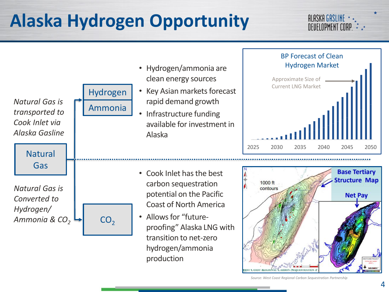# **Alaska Hydrogen Opportunity**

#### ALASKA GASLINE \* DEUELOPMENT CORP \* \*



*Source: West Coast Regional Carbon Sequestration Partnership*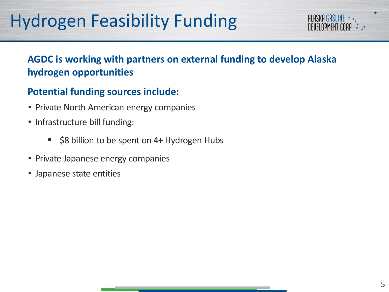# Hydrogen Feasibility Funding

## **AGDC is working with partners on external funding to develop Alaska hydrogen opportunities**

### **Potential funding sources include:**

- Private North American energy companies
- Infrastructure bill funding:
	- \$8 billion to be spent on 4+ Hydrogen Hubs
- Private Japanese energy companies
- Japanese state entities

**ALASKA GASLINE** NEIIEI NDMENT LUB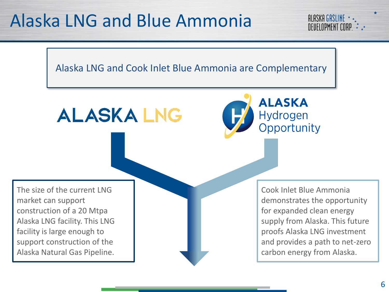## Alaska LNG and Blue Ammonia



**ALASKA LNG** 



The size of the current LNG market can support construction of a 20 Mtpa Alaska LNG facility. This LNG facility is large enough to support construction of the Alaska Natural Gas Pipeline.

Cook Inlet Blue Ammonia demonstrates the opportunity for expanded clean energy supply from Alaska. This future proofs Alaska LNG investment and provides a path to net-zero carbon energy from Alaska.

**ALASKA GASLINE** *<u>OFUFIOPMENT COR</u>*